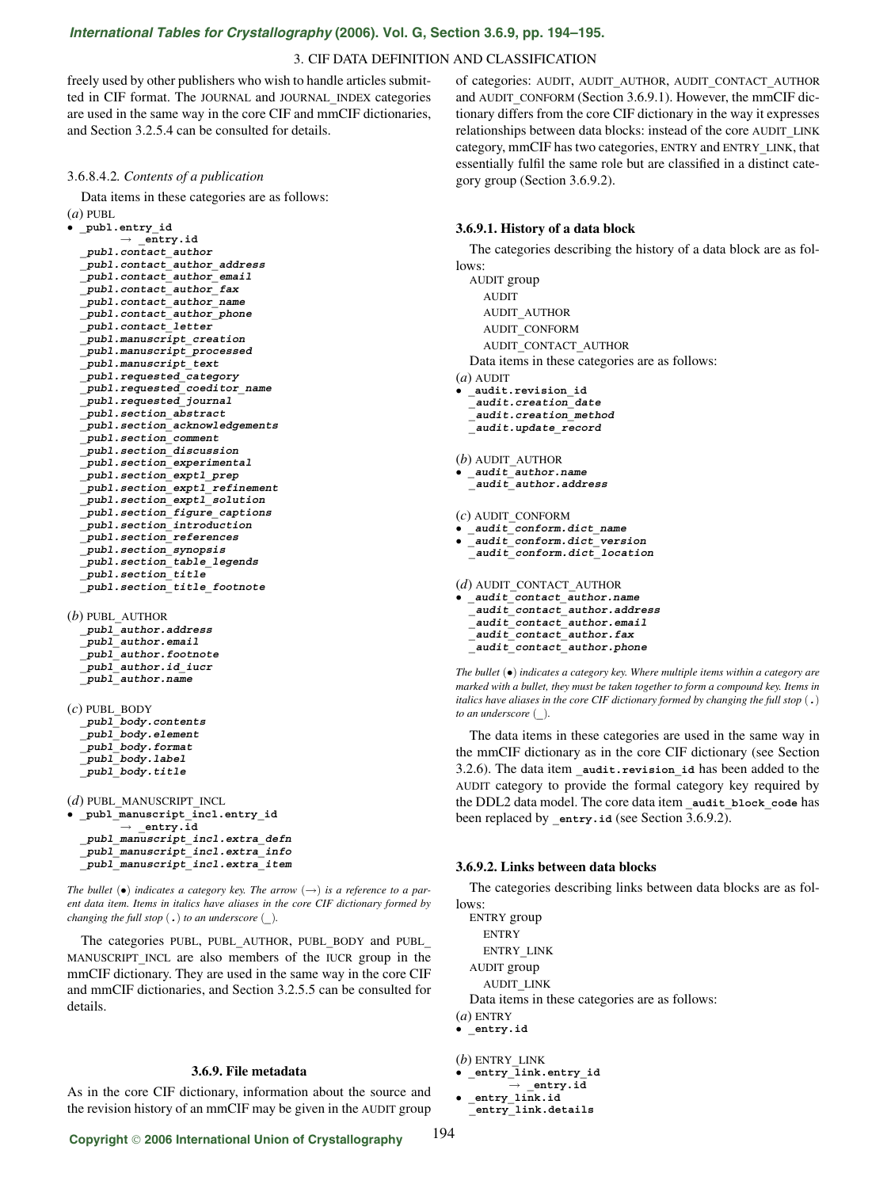# *International Tables for Crystallography* **[\(2006\). Vol. G, Section 3.6.9, pp. 194–195.](http://it.iucr.org/Ga/ch3o6v0001/sec3o6o9/)**

#### 3. CIF DATA DEFINITION AND CLASSIFICATION

freely used by other publishers who wish to handle articles submitted in CIF format. The JOURNAL and JOURNAL**\_**INDEX categories are used in the same way in the core CIF and mmCIF dictionaries, and Section 3.2.5.4 can be consulted for details.

#### 3.6.8.4.2*. Contents of a publication*

Data items in these categories are as follows:

(*a*) PUBL

| $(u)$ PUDL                                                                                |
|-------------------------------------------------------------------------------------------|
| publ.entry id                                                                             |
| $\rightarrow$ entry.id                                                                    |
| publ.contact author                                                                       |
| publ.contact author address                                                               |
| publ.contact author email                                                                 |
| publ.contact author fax                                                                   |
| publ.contact author name                                                                  |
| _publ.contact author phone                                                                |
| publ.contact letter                                                                       |
| publ.manuscript creation                                                                  |
| publ.manuscript processed                                                                 |
| publ.manuscript text                                                                      |
| publ.requested category                                                                   |
| publ.requested coeditor name                                                              |
| publ.requested journal                                                                    |
| publ.section abstract                                                                     |
| publ.section acknowledgements                                                             |
| $\begin{array}{c} \textbf{publ}.\textbf{section} \textbf{ \textit{common} t} \end{array}$ |
| publ.section discussion                                                                   |
| publ.section experimental                                                                 |
| publ.section exptl prep                                                                   |
| publ.section exptl refinement                                                             |
| publ.section_exptl_solution                                                               |
| publ.section figure captions                                                              |
| publ.section introduction                                                                 |
| publ.section references                                                                   |
| publ.section synopsis                                                                     |
| publ.section_table_legends                                                                |
| _publ.section title                                                                       |
| publ.section title footnote                                                               |
|                                                                                           |

(*b*) PUBL**\_**AUTHOR **\_publ\_author.address \_publ\_author.email \_publ\_author.footnote \_publ\_author.id\_iucr \_publ\_author.name**

(*c*) PUBL**\_**BODY **\_publ\_body.contents \_publ\_body.element \_publ\_body.format \_publ\_body.label \_publ\_body.title**

(*d*) PUBL**\_**MANUSCRIPT**\_**INCL • **\_publ\_manuscript\_incl.entry\_id** → **\_entry.id \_publ\_manuscript\_incl.extra\_defn \_publ\_manuscript\_incl.extra\_info \_publ\_manuscript\_incl.extra\_item**

*The bullet* ( $\bullet$ ) *indicates a category key. The arrow*  $(\rightarrow)$  *is a reference to a parent data item. Items in italics have aliases in the core CIF dictionary formed by changing the full stop* (**.**) *to an underscore* (**\_**)*.*

The categories PUBL, PUBL**\_**AUTHOR, PUBL**\_**BODY and PUBL**\_** MANUSCRIPT**\_**INCL are also members of the IUCR group in the mmCIF dictionary. They are used in the same way in the core CIF and mmCIF dictionaries, and Section 3.2.5.5 can be consulted for details.

# **3.6.9. File metadata**

As in the core CIF dictionary, information about the source and the revision history of an mmCIF may be given in the AUDIT group of categories: AUDIT, AUDIT**\_**AUTHOR, AUDIT**\_**CONTACT**\_**AUTHOR and AUDIT CONFORM (Section 3.6.9.1). However, the mmCIF dictionary differs from the core CIF dictionary in the way it expresses relationships between data blocks: instead of the core AUDIT**\_**LINK category, mmCIF has two categories, ENTRY and ENTRY**\_**LINK, that essentially fulfil the same role but are classified in a distinct category group (Section 3.6.9.2).

### **3.6.9.1. History of a data block**

The categories describing the history of a data block are as fol-

```
lows:
  AUDIT group
    AUDIT
    AUDIT_AUTHOR
    AUDIT_CONFORM
    AUDIT_CONTACT_AUTHOR
 Data items in these categories are as follows:
(a) AUDIT
 • _audit.revision_id
  _audit.creation_date
  _audit.creation_method
  _audit.update_record
(b) AUDIT_AUTHOR
 • _audit_author.name
  _audit_author.address
(c) AUDIT_CONFORM
 • _audit_conform.dict_name
 • _audit_conform.dict_version
  _audit_conform.dict_location
(d) AUDIT_CONTACT_AUTHOR
• _audit_contact_author.name
  _audit_contact_author.address
 _audit_contact_author.email
   _audit_contact_author.fax
  _audit_contact_author.phone
```
*The bullet* (•) *indicates a category key. Where multiple items within a category are marked with a bullet, they must be taken together to form a compound key. Items in italics have aliases in the core CIF dictionary formed by changing the full stop* (**.**) *to an underscore* (**\_**)*.*

The data items in these categories are used in the same way in the mmCIF dictionary as in the core CIF dictionary (see Section 3.2.6). The data item **\_audit.revision\_id** has been added to the AUDIT category to provide the formal category key required by the DDL2 data model. The core data item audit block code has been replaced by **entry.id** (see Section 3.6.9.2).

#### **3.6.9.2. Links between data blocks**

The categories describing links between data blocks are as follows:

```
ENTRY group
    ENTRY
    ENTRY_LINK
  AUDIT group
    AUDIT_LINK
  Data items in these categories are as follows:
(a) ENTRY
• _entry.id
```

```
(b) ENTRY_LINK
 • _entry_link.entry_id
```

```
entry.id
• _entry_link.id
```

```
_entry_link.details
```